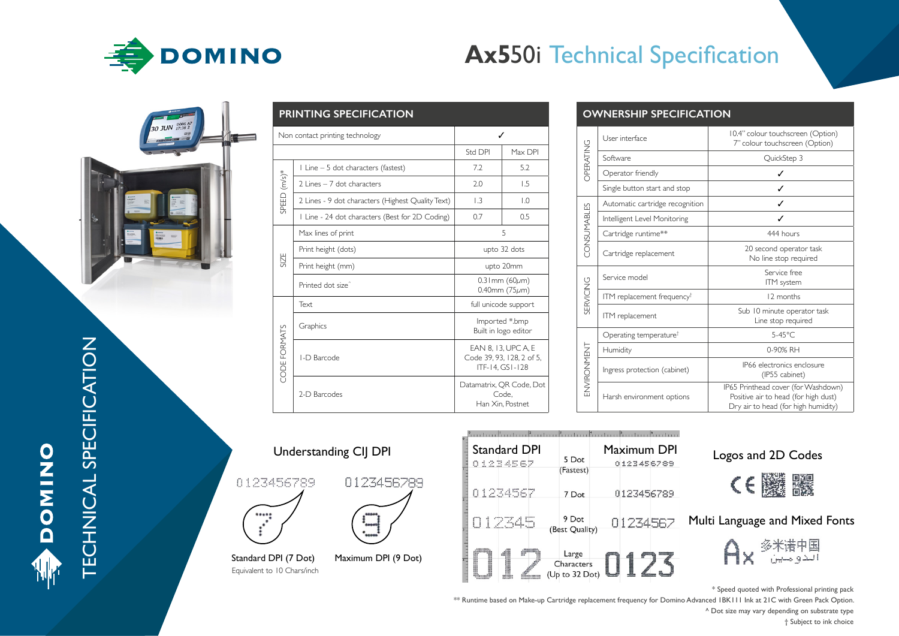

# **Ax5**50i Technical Specification

| <b>Promise</b><br><b>COM</b><br>30 JUN $\frac{10006 \text{ A7}}{17:36 \text{ A2}}$                                                                                          |  |
|-----------------------------------------------------------------------------------------------------------------------------------------------------------------------------|--|
| <b>dressed</b><br>Filing<br><br>監<br>監<br>$rac{1}{2}$<br>49.99<br>ø<br><b>a</b> sim<br><b>distant</b><br>11111<br><b>CELLURGE</b><br><b>WARP</b><br>100801<br><b>SIZEN-</b> |  |
|                                                                                                                                                                             |  |

DOMINO

| <b>PRINTING SPECIFICATION</b>        |                                                   |                                                                     |                  |
|--------------------------------------|---------------------------------------------------|---------------------------------------------------------------------|------------------|
| Non contact printing technology<br>ℐ |                                                   |                                                                     |                  |
|                                      |                                                   | Std DPI                                                             | Max DPI          |
| SPEED (m/s)*                         | 1 Line - 5 dot characters (fastest)               | 7.2                                                                 | 5.2              |
|                                      | 2 Lines – 7 dot characters                        | 2.0                                                                 | 1.5              |
|                                      | 2 Lines - 9 dot characters (Highest Quality Text) | $\overline{1.3}$                                                    | $\overline{1.0}$ |
|                                      | 1 Line - 24 dot characters (Best for 2D Coding)   | 0.7                                                                 | 0.5              |
| SIZE                                 | Max lines of print                                | 5                                                                   |                  |
|                                      | Print height (dots)                               | upto 32 dots                                                        |                  |
|                                      | Print height (mm)                                 | upto 20mm                                                           |                  |
|                                      | Printed dot size <sup>^</sup>                     | 0.3 mm $(60 \mu m)$<br>0.40mm $(75 \mu m)$                          |                  |
| CODE FORMATS                         | Text                                              | full unicode support                                                |                  |
|                                      | Graphics                                          | Imported *.bmp<br>Built in logo editor                              |                  |
|                                      | I-D Barcode                                       | EAN 8. 13. UPC A. E<br>Code 39, 93, 128, 2 of 5,<br>ITF-14, GS1-128 |                  |
|                                      | 2-D Barcodes                                      | Datamatrix, QR Code, Dot<br>Code.<br>Han Xin, Postnet               |                  |

# **OWNERSHIP SPECIFICATION**

|             | User interface                         | 10.4" colour touchscreen (Option)<br>7" colour touchscreen (Option)                                                |  |
|-------------|----------------------------------------|--------------------------------------------------------------------------------------------------------------------|--|
| OPERATING   | Software                               | QuickStep 3                                                                                                        |  |
|             | Operator friendly                      |                                                                                                                    |  |
|             | Single button start and stop           |                                                                                                                    |  |
| CONSUMABLES | Automatic cartridge recognition        |                                                                                                                    |  |
|             | Intelligent Level Monitoring           |                                                                                                                    |  |
|             | Cartridge runtime**                    | 444 hours                                                                                                          |  |
|             | Cartridge replacement                  | 20 second operator task<br>No line stop required                                                                   |  |
|             | Service model                          | Service free<br>ITM system                                                                                         |  |
| SERVICING   | ITM replacement frequency <sup>†</sup> | 12 months                                                                                                          |  |
|             | ITM replacement                        | Sub 10 minute operator task<br>Line stop required                                                                  |  |
|             | Operating temperature <sup>†</sup>     | 5-45°C                                                                                                             |  |
| ENVIRONMENT | Humidity                               | 0-90% RH                                                                                                           |  |
|             | Ingress protection (cabinet)           | IP66 electronics enclosure<br>(IP55 cabinet)                                                                       |  |
|             | Harsh environment options              | IP65 Printhead cover (for Washdown)<br>Positive air to head (for high dust)<br>Dry air to head (for high humidity) |  |





| 1,500<br>$-1.7$ | 回游回<br>۴<br>114.2 |
|-----------------|-------------------|
|                 |                   |

# Multi Language and Mixed Fonts



\* Speed quoted with Professional printing pack

\*\* Runtime based on Make-up Cartridge replacement frequency for Domino Advanced 1BK111 Ink at 21C with Green Pack Option.

^ Dot size may vary depending on substrate type

† Subject to ink choice